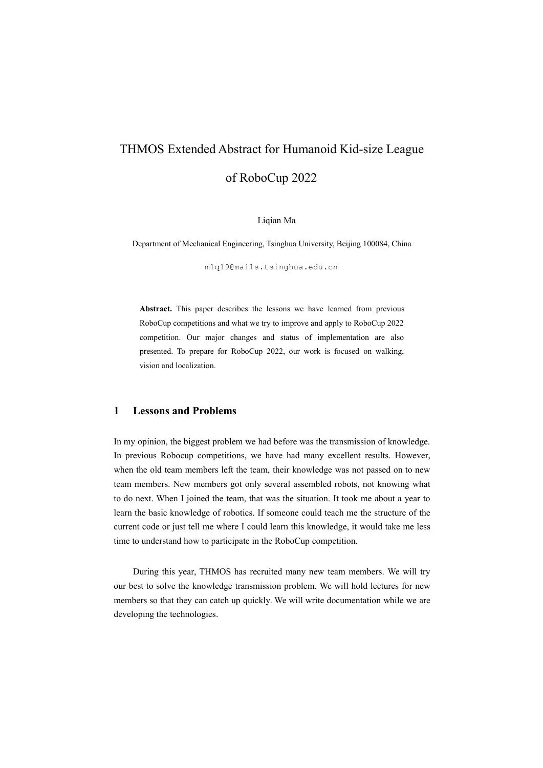# THMOS Extended Abstract for Humanoid Kid-size League of RoboCup 2022

Liqian Ma

Department of Mechanical Engineering, Tsinghua University, Beijing 100084, China

mlq19@mails.tsinghua.edu.cn

**Abstract.** This paper describes the lessons we have learned from previous RoboCup competitions and what we try to improve and apply to RoboCup 2022 competition. Our major changes and status of implementation are also presented. To prepare for RoboCup 2022, our work is focused on walking, vision and localization.

### **1 Lessons and Problems**

In my opinion, the biggest problem we had before was the transmission of knowledge. In previous Robocup competitions, we have had many excellent results. However, when the old team members left the team, their knowledge was not passed on to new team members. New members got only several assembled robots, not knowing what to do next. When I joined the team, that was the situation. It took me about a yearto learn the basic knowledge of robotics. If someone could teach me the structure of the current code or just tell me where I could learn this knowledge, it would take me less time to understand how to participate in the RoboCup competition.

During this year, THMOS has recruited many new team members. We will try our best to solve the knowledge transmission problem. We will hold lectures for new members so that they can catch up quickly.We will write documentation while we are developing the technologies.